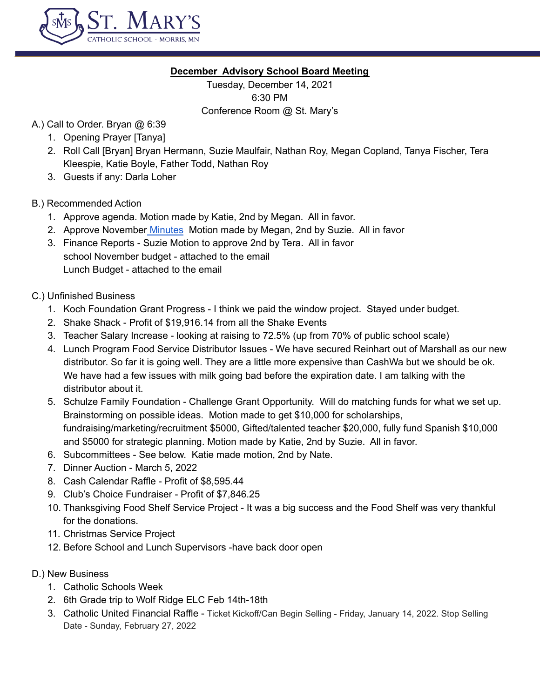

### **December Advisory School Board Meeting**

Tuesday, December 14, 2021 6:30 PM Conference Room @ St. Mary's

- A.) Call to Order. Bryan @ 6:39
	- 1. Opening Prayer [Tanya]
	- 2. Roll Call [Bryan] Bryan Hermann, Suzie Maulfair, Nathan Roy, Megan Copland, Tanya Fischer, Tera Kleespie, Katie Boyle, Father Todd, Nathan Roy
	- 3. Guests if any: Darla Loher

## B.) Recommended Action

- 1. Approve agenda. Motion made by Katie, 2nd by Megan. All in favor.
- 2. Approve November [Minutes](https://docs.google.com/document/d/1CKUlKqVohdVjJZF9A4r7A976ZHg-Yzj3lt1Nn_hb18g/edit) Motion made by Megan, 2nd by Suzie. All in favor
- 3. Finance Reports Suzie Motion to approve 2nd by Tera. All in favor school November budget - attached to the email Lunch Budget - attached to the email
- C.) Unfinished Business
	- 1. Koch Foundation Grant Progress I think we paid the window project. Stayed under budget.
	- 2. Shake Shack Profit of \$19,916.14 from all the Shake Events
	- 3. Teacher Salary Increase looking at raising to 72.5% (up from 70% of public school scale)
	- 4. Lunch Program Food Service Distributor Issues We have secured Reinhart out of Marshall as our new distributor. So far it is going well. They are a little more expensive than CashWa but we should be ok. We have had a few issues with milk going bad before the expiration date. I am talking with the distributor about it.
	- 5. Schulze Family Foundation Challenge Grant Opportunity. Will do matching funds for what we set up. Brainstorming on possible ideas. Motion made to get \$10,000 for scholarships, fundraising/marketing/recruitment \$5000, Gifted/talented teacher \$20,000, fully fund Spanish \$10,000 and \$5000 for strategic planning. Motion made by Katie, 2nd by Suzie. All in favor.
	- 6. Subcommittees See below. Katie made motion, 2nd by Nate.
	- 7. Dinner Auction March 5, 2022
	- 8. Cash Calendar Raffle Profit of \$8,595.44
	- 9. Club's Choice Fundraiser Profit of \$7,846.25
	- 10. Thanksgiving Food Shelf Service Project It was a big success and the Food Shelf was very thankful for the donations.
	- 11. Christmas Service Project
	- 12. Before School and Lunch Supervisors -have back door open

## D.) New Business

- 1. Catholic Schools Week
- 2. 6th Grade trip to Wolf Ridge ELC Feb 14th-18th
- 3. Catholic United Financial Raffle Ticket Kickoff/Can Begin Selling Friday, January 14, 2022. Stop Selling Date - Sunday, February 27, 2022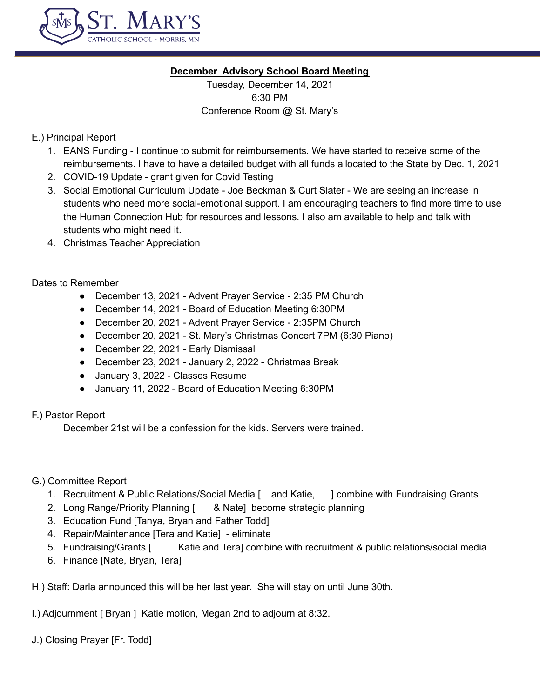

### **December Advisory School Board Meeting**

Tuesday, December 14, 2021 6:30 PM Conference Room @ St. Mary's

### E.) Principal Report

- 1. EANS Funding I continue to submit for reimbursements. We have started to receive some of the reimbursements. I have to have a detailed budget with all funds allocated to the State by Dec. 1, 2021
- 2. COVID-19 Update grant given for Covid Testing
- 3. Social Emotional Curriculum Update Joe Beckman & Curt Slater We are seeing an increase in students who need more social-emotional support. I am encouraging teachers to find more time to use the Human Connection Hub for resources and lessons. I also am available to help and talk with students who might need it.
- 4. Christmas Teacher Appreciation

Dates to Remember

- December 13, 2021 Advent Prayer Service 2:35 PM Church
- December 14, 2021 Board of Education Meeting 6:30PM
- December 20, 2021 Advent Prayer Service 2:35PM Church
- December 20, 2021 St. Mary's Christmas Concert 7PM (6:30 Piano)
- December 22, 2021 Early Dismissal
- December 23, 2021 January 2, 2022 Christmas Break
- January 3, 2022 Classes Resume
- January 11, 2022 Board of Education Meeting 6:30PM

## F.) Pastor Report

December 21st will be a confession for the kids. Servers were trained.

#### G.) Committee Report

- 1. Recruitment & Public Relations/Social Media [ and Katie, ] combine with Fundraising Grants
- 2. Long Range/Priority Planning [ & Nate] become strategic planning
- 3. Education Fund [Tanya, Bryan and Father Todd]
- 4. Repair/Maintenance [Tera and Katie] eliminate
- 5. Fundraising/Grants [ Katie and Tera] combine with recruitment & public relations/social media
- 6. Finance [Nate, Bryan, Tera]

H.) Staff: Darla announced this will be her last year. She will stay on until June 30th.

I.) Adjournment [ Bryan ] Katie motion, Megan 2nd to adjourn at 8:32.

J.) Closing Prayer [Fr. Todd]